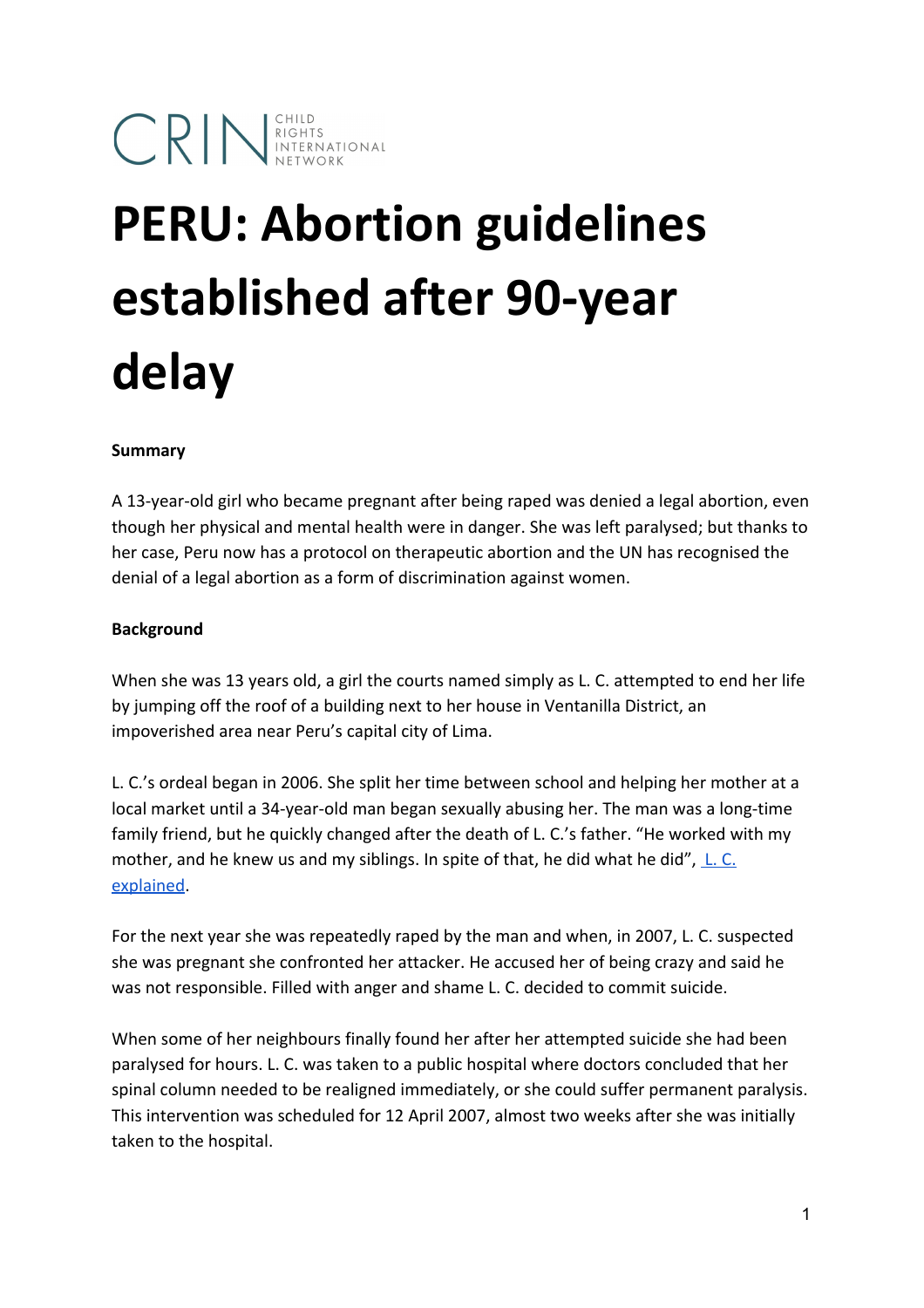# **CRIN** RIGHTS NETWORK

## **PERU: Abortion guidelines established after 90-year delay**

#### **Summary**

A 13-year-old girl who became pregnant after being raped was denied a legal abortion, even though her physical and mental health were in danger. She was left paralysed; but thanks to her case, Peru now has a protocol on therapeutic abortion and the UN has recognised the denial of a legal abortion as a form of discrimination against women.

#### **Background**

When she was 13 years old, a girl the courts named simply as L. C. attempted to end her life by jumping off the roof of a building next to her house in Ventanilla District, an impoverished area near Peru's capital city of Lima.

L. C.'s ordeal began in 2006. She split her time between school and helping her mother at a local market until a 34-year-old man began sexually abusing her. The man was a long-time family friend, but he quickly changed after the death of L. C.'s father. "He worked with my mother, and he knew us and my siblings. In spite of that, he did what he did",  $\underline{\mathsf{L}}$ . [C.](https://www.youtube.com/watch?v=LGBFZxkrEVs#t=84) [explained.](https://www.youtube.com/watch?v=LGBFZxkrEVs#t=84)

For the next year she was repeatedly raped by the man and when, in 2007, L. C. suspected she was pregnant she confronted her attacker. He accused her of being crazy and said he was not responsible. Filled with anger and shame L. C. decided to commit suicide.

When some of her neighbours finally found her after her attempted suicide she had been paralysed for hours. L. C. was taken to a public hospital where doctors concluded that her spinal column needed to be realigned immediately, or she could suffer permanent paralysis. This intervention was scheduled for 12 April 2007, almost two weeks after she was initially taken to the hospital.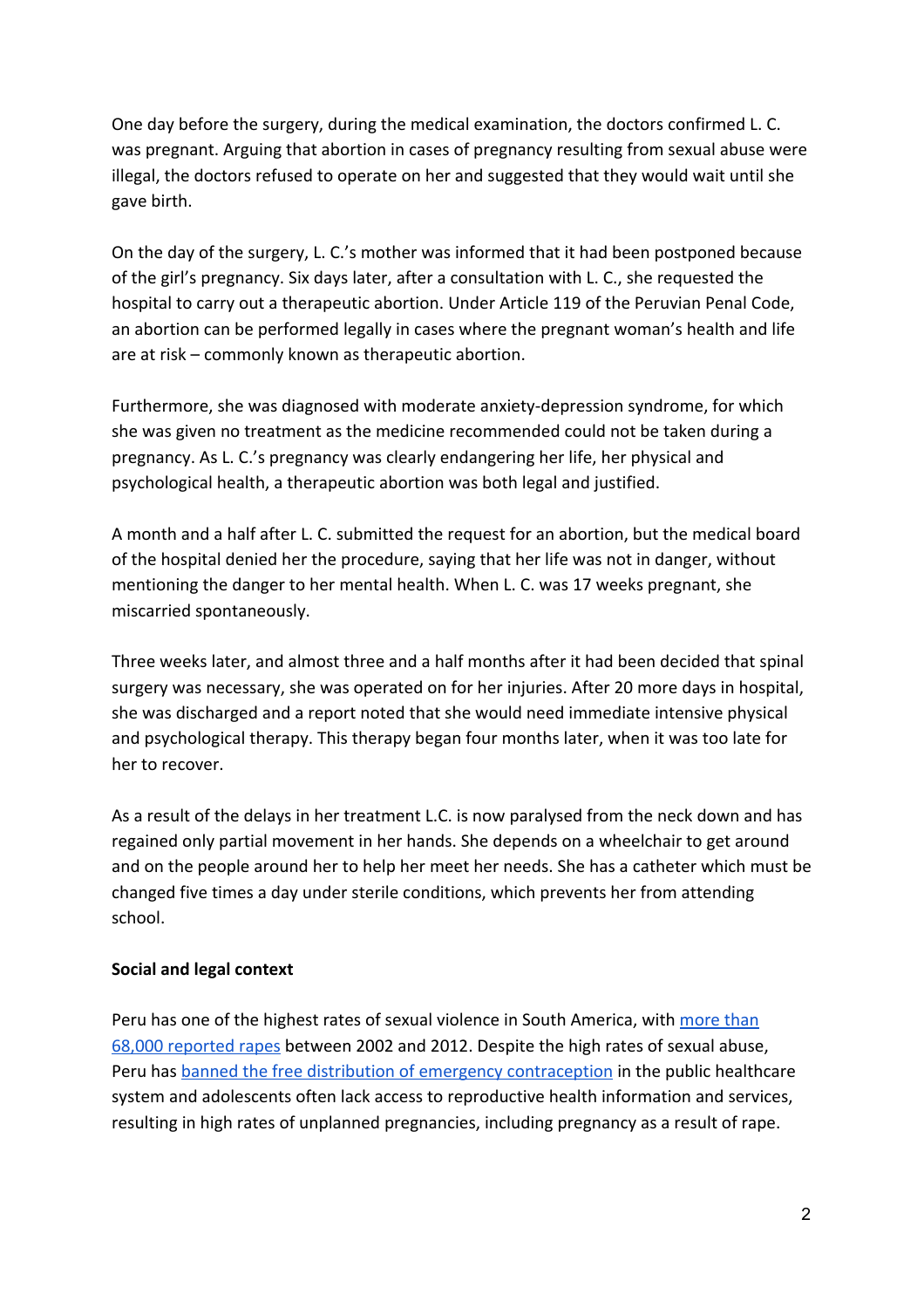One day before the surgery, during the medical examination, the doctors confirmed L. C. was pregnant. Arguing that abortion in cases of pregnancy resulting from sexual abuse were illegal, the doctors refused to operate on her and suggested that they would wait until she gave birth.

On the day of the surgery, L. C.'s mother was informed that it had been postponed because of the girl's pregnancy. Six days later, after a consultation with L. C., she requested the hospital to carry out a therapeutic abortion. Under Article 119 of the Peruvian Penal Code, an abortion can be performed legally in cases where the pregnant woman's health and life are at risk – commonly known as therapeutic abortion.

Furthermore, she was diagnosed with moderate anxiety-depression syndrome, for which she was given no treatment as the medicine recommended could not be taken during a pregnancy. As L. C.'s pregnancy was clearly endangering her life, her physical and psychological health, a therapeutic abortion was both legal and justified.

A month and a half after L. C. submitted the request for an abortion, but the medical board of the hospital denied her the procedure, saying that her life was not in danger, without mentioning the danger to her mental health. When L. C. was 17 weeks pregnant, she miscarried spontaneously.

Three weeks later, and almost three and a half months after it had been decided that spinal surgery was necessary, she was operated on for her injuries. After 20 more days in hospital, she was discharged and a report noted that she would need immediate intensive physical and psychological therapy. This therapy began four months later, when it was too late for her to recover.

As a result of the delays in her treatment L.C. is now paralysed from the neck down and has regained only partial movement in her hands. She depends on a wheelchair to get around and on the people around her to help her meet her needs. She has a catheter which must be changed five times a day under sterile conditions, which prevents her from attending school.

#### **Social and legal context**

Peru has one of the highest rates of sexual violence in South America, with [more](http://www.usip.org/sites/default/files/SR310.pdf) than 68,000 [reported](http://www.usip.org/sites/default/files/SR310.pdf) rapes between 2002 and 2012. Despite the high rates of sexual abuse, Peru has banned the free distribution of emergency [contraception](http://www.theguardian.com/world/2015/may/27/peru-bill-to-abortions-pregnant-rape) in the public healthcare system and adolescents often lack access to reproductive health information and services, resulting in high rates of unplanned pregnancies, including pregnancy as a result of rape.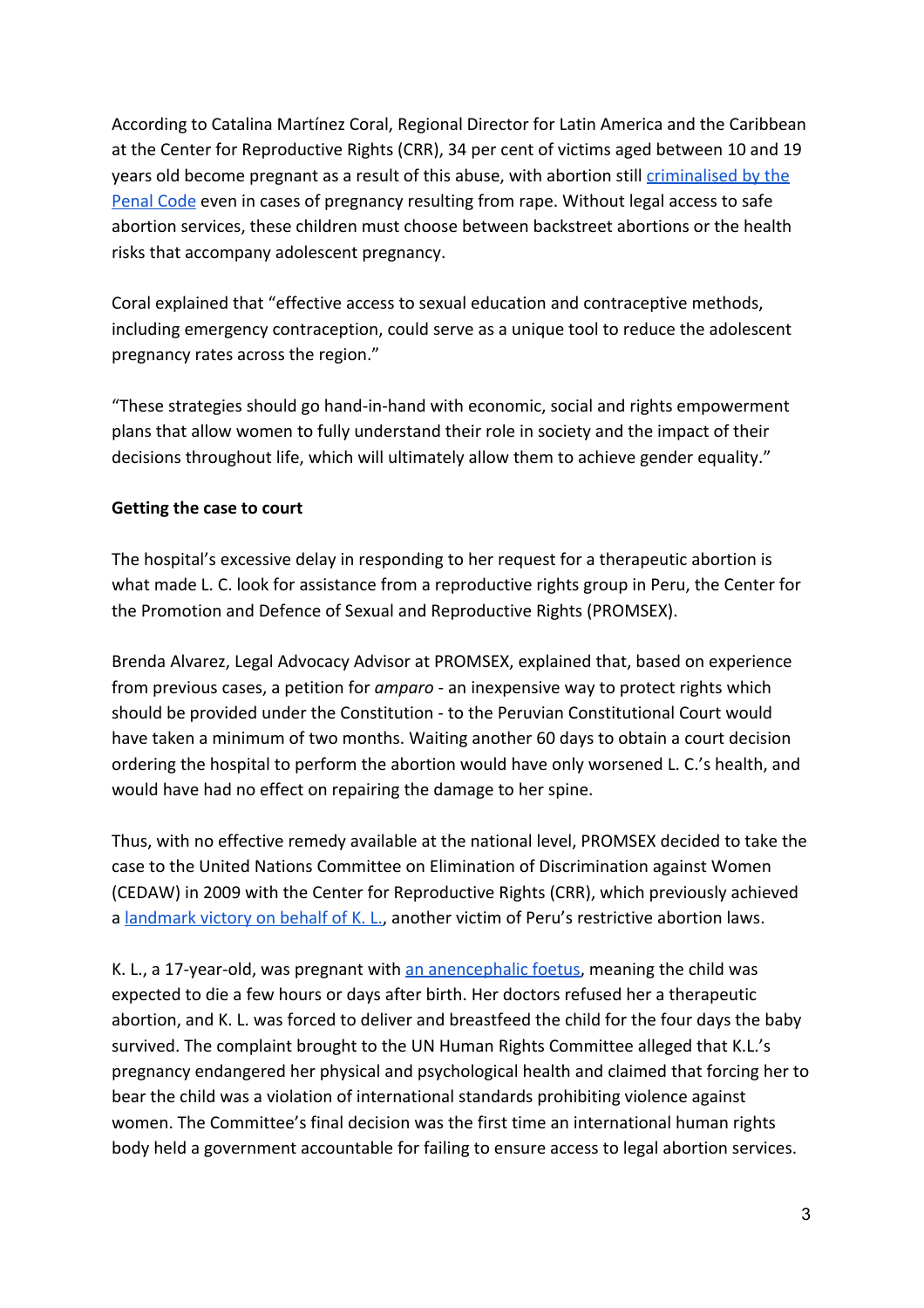According to Catalina Martínez Coral, Regional Director for Latin America and the Caribbean at the Center for Reproductive Rights (CRR), 34 per cent of victims aged between 10 and 19 years old become pregnant as a result of this abuse, with abortion still *[criminalised](http://perso.unifr.ch/derechopenal/assets/files/legislacion/l_20080616_75.pdf) by the* [Penal](http://perso.unifr.ch/derechopenal/assets/files/legislacion/l_20080616_75.pdf) Code even in cases of pregnancy resulting from rape. Without legal access to safe abortion services, these children must choose between backstreet abortions or the health risks that accompany adolescent pregnancy.

Coral explained that "effective access to sexual education and contraceptive methods, including emergency contraception, could serve as a unique tool to reduce the adolescent pregnancy rates across the region."

"These strategies should go hand-in-hand with economic, social and rights empowerment plans that allow women to fully understand their role in society and the impact of their decisions throughout life, which will ultimately allow them to achieve gender equality."

#### **Getting the case to court**

The hospital's excessive delay in responding to her request for a therapeutic abortion is what made L. C. look for assistance from a reproductive rights group in Peru, the Center for the Promotion and Defence of Sexual and Reproductive Rights (PROMSEX).

Brenda Alvarez, Legal Advocacy Advisor at PROMSEX, explained that, based on experience from previous cases, a petition for *amparo* - an inexpensive way to protect rights which should be provided under the Constitution - to the Peruvian Constitutional Court would have taken a minimum of two months. Waiting another 60 days to obtain a court decision ordering the hospital to perform the abortion would have only worsened L. C.'s health, and would have had no effect on repairing the damage to her spine.

Thus, with no effective remedy available at the national level, PROMSEX decided to take the case to the United Nations Committee on Elimination of Discrimination against Women (CEDAW) in 2009 with the Center for Reproductive Rights (CRR), which previously achieved a [landmark](http://www.reproductiverights.org/sites/crr.civicactions.net/files/documents/KL%20HRC%20final%20decision.pdf) victory on behalf of K. L., another victim of Peru's restrictive abortion laws.

K. L., a 17-year-old, was pregnant with an [anencephalic](http://www.cdc.gov/ncbddd/birthdefects/anencephaly.html) foetus, meaning the child was expected to die a few hours or days after birth. Her doctors refused her a therapeutic abortion, and K. L. was forced to deliver and breastfeed the child for the four days the baby survived. The complaint brought to the UN Human Rights Committee alleged that K.L.'s pregnancy endangered her physical and psychological health and claimed that forcing her to bear the child was a violation of international standards prohibiting violence against women. The Committee's final decision was the first time an international human rights body held a government accountable for failing to ensure access to legal abortion services.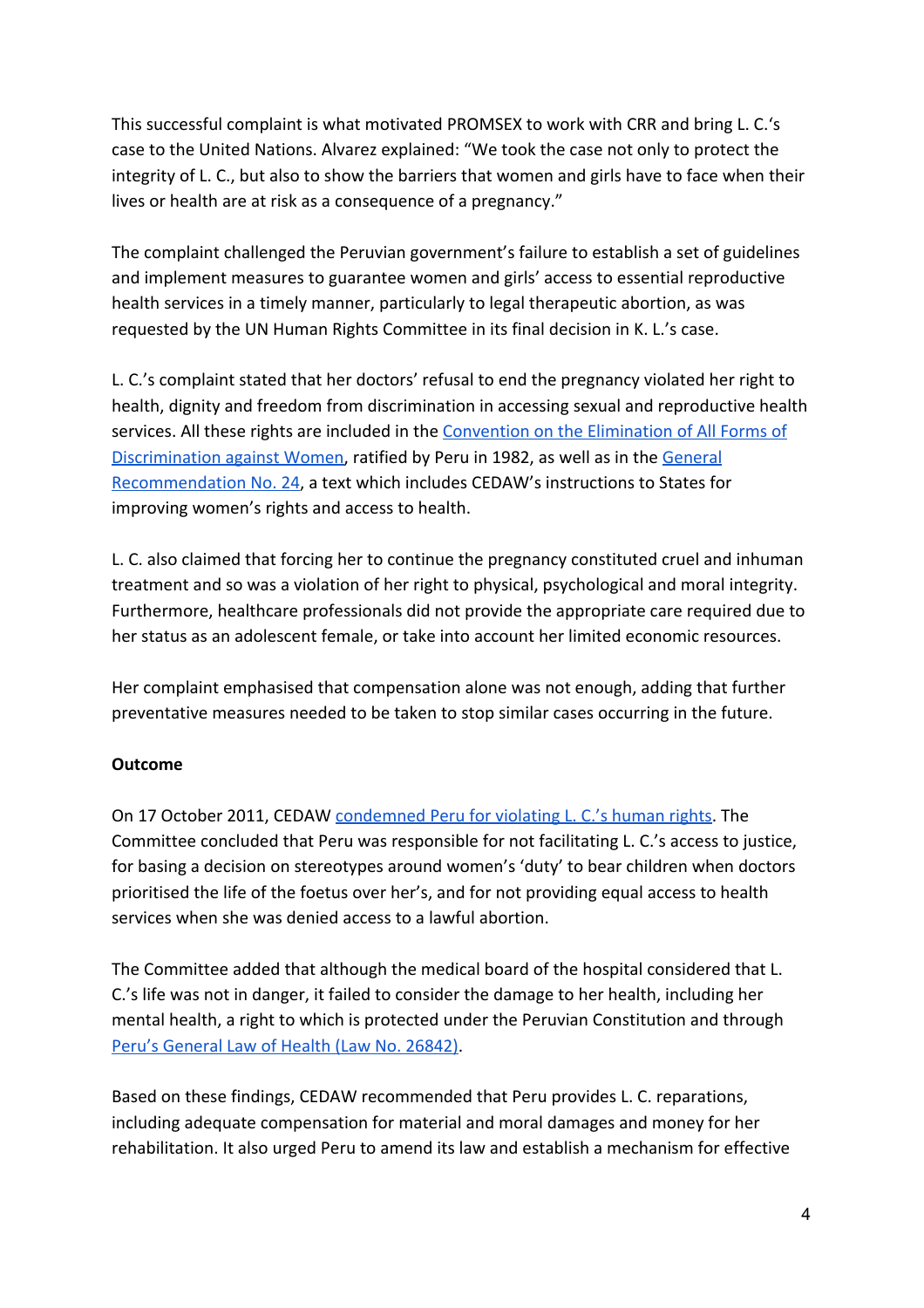This successful complaint is what motivated PROMSEX to work with CRR and bring L. C.'s case to the United Nations. Alvarez explained: "We took the case not only to protect the integrity of L. C., but also to show the barriers that women and girls have to face when their lives or health are at risk as a consequence of a pregnancy."

The complaint challenged the Peruvian government's failure to establish a set of guidelines and implement measures to guarantee women and girls' access to essential reproductive health services in a timely manner, particularly to legal therapeutic abortion, as was requested by the UN Human Rights Committee in its final decision in K. L.'s case.

L. C.'s complaint stated that her doctors' refusal to end the pregnancy violated her right to health, dignity and freedom from discrimination in accessing sexual and reproductive health services. All these rights are included in the [Convention](http://www.ohchr.org/Documents/ProfessionalInterest/cedaw.pdf) on the Elimination of All Forms of [Discrimination](http://www.ohchr.org/Documents/ProfessionalInterest/cedaw.pdf) against Women, ratified by Peru in 1982, as well as in the [General](http://www.un.org/womenwatch/daw/cedaw/recommendations/recomm.htm#recom24) [Recommendation](http://www.un.org/womenwatch/daw/cedaw/recommendations/recomm.htm#recom24) No. 24, a text which includes CEDAW's instructions to States for improving women's rights and access to health.

L. C. also claimed that forcing her to continue the pregnancy constituted cruel and inhuman treatment and so was a violation of her right to physical, psychological and moral integrity. Furthermore, healthcare professionals did not provide the appropriate care required due to her status as an adolescent female, or take into account her limited economic resources.

Her complaint emphasised that compensation alone was not enough, adding that further preventative measures needed to be taken to stop similar cases occurring in the future.

### **Outcome**

On 17 October 2011, CEDAW [condemned](http://www.reproductiverights.org/sites/crr.civicactions.net/files/documents/CEDAW-C-50-D-22-2009%20English%20%28clean%20copy%29.pdf) Peru for violating L. C.'s human rights. The Committee concluded that Peru was responsible for not facilitating L. C.'s access to justice, for basing a decision on stereotypes around women's 'duty' to bear children when doctors prioritised the life of the foetus over her's, and for not providing equal access to health services when she was denied access to a lawful abortion.

The Committee added that although the medical board of the hospital considered that L. C.'s life was not in danger, it failed to consider the damage to her health, including her mental health, a right to which is protected under the Peruvian Constitution and through Peru's [General](http://www.wipo.int/edocs/lexdocs/laws/es/pe/pe060es.pdf) Law of Health (Law No. 26842).

Based on these findings, CEDAW recommended that Peru provides L. C. reparations, including adequate compensation for material and moral damages and money for her rehabilitation. It also urged Peru to amend its law and establish a mechanism for effective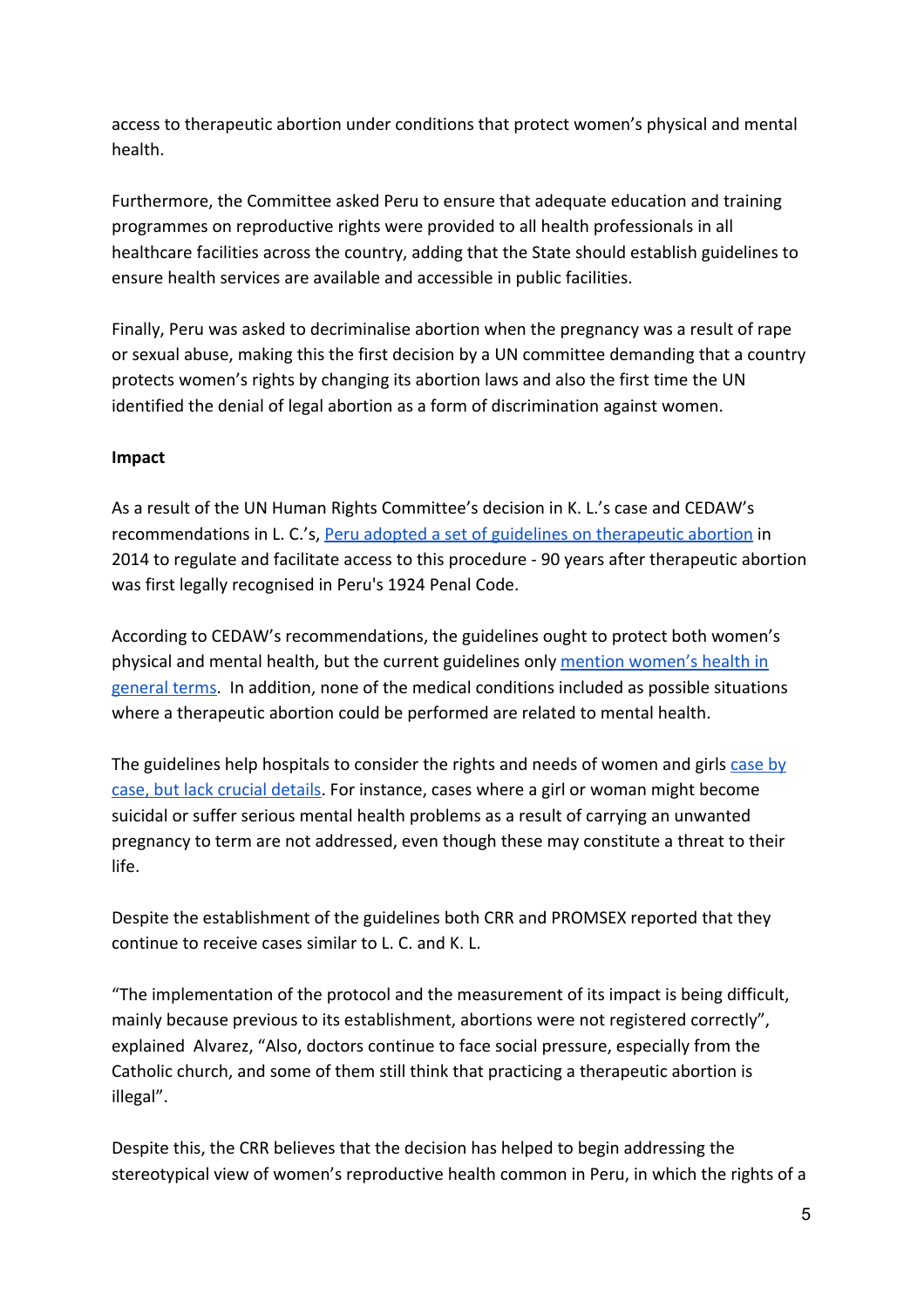access to therapeutic abortion under conditions that protect women's physical and mental health.

Furthermore, the Committee asked Peru to ensure that adequate education and training programmes on reproductive rights were provided to all health professionals in all healthcare facilities across the country, adding that the State should establish guidelines to ensure health services are available and accessible in public facilities.

Finally, Peru was asked to decriminalise abortion when the pregnancy was a result of rape or sexual abuse, making this the first decision by a UN committee demanding that a country protects women's rights by changing its abortion laws and also the first time the UN identified the denial of legal abortion as a form of discrimination against women.

#### **Impact**

As a result of the UN Human Rights Committee's decision in K. L.'s case and CEDAW's recommendations in L. C.'s, Peru adopted a set of guidelines on [therapeutic](http://www.reproductiverights.org/press-room/Peru-Takes-Critical-Step-To-Implement-Historic-United-Nations-Ruling) abortion in 2014 to regulate and facilitate access to this procedure - 90 years after therapeutic abortion was first legally recognised in Peru's 1924 Penal Code.

According to CEDAW's recommendations, the guidelines ought to protect both women's physical and mental health, but the current guidelines only mention [women's](http://cde.peru21.pe/doc/0/0/2/2/4/224039.pdf) health in [general](http://cde.peru21.pe/doc/0/0/2/2/4/224039.pdf) terms. In addition, none of the medical conditions included as possible situations where a therapeutic abortion could be performed are related to mental health.

The guidelines help hospitals to consider the rights and needs of women and girls [case](https://www.hrw.org/news/2014/07/01/dispatches-new-abortion-rules-peru) by case, but lack crucial [details.](https://www.hrw.org/news/2014/07/01/dispatches-new-abortion-rules-peru) For instance, cases where a girl or woman might become suicidal or suffer serious mental health problems as a result of carrying an unwanted pregnancy to term are not addressed, even though these may constitute a threat to their life.

Despite the establishment of the guidelines both CRR and PROMSEX reported that they continue to receive cases similar to L. C. and K. L.

"The implementation of the protocol and the measurement of its impact is being difficult, mainly because previous to its establishment, abortions were not registered correctly", explained Alvarez, "Also, doctors continue to face social pressure, especially from the Catholic church, and some of them still think that practicing a therapeutic abortion is illegal".

Despite this, the CRR believes that the decision has helped to begin addressing the stereotypical view of women's reproductive health common in Peru, in which the rights of a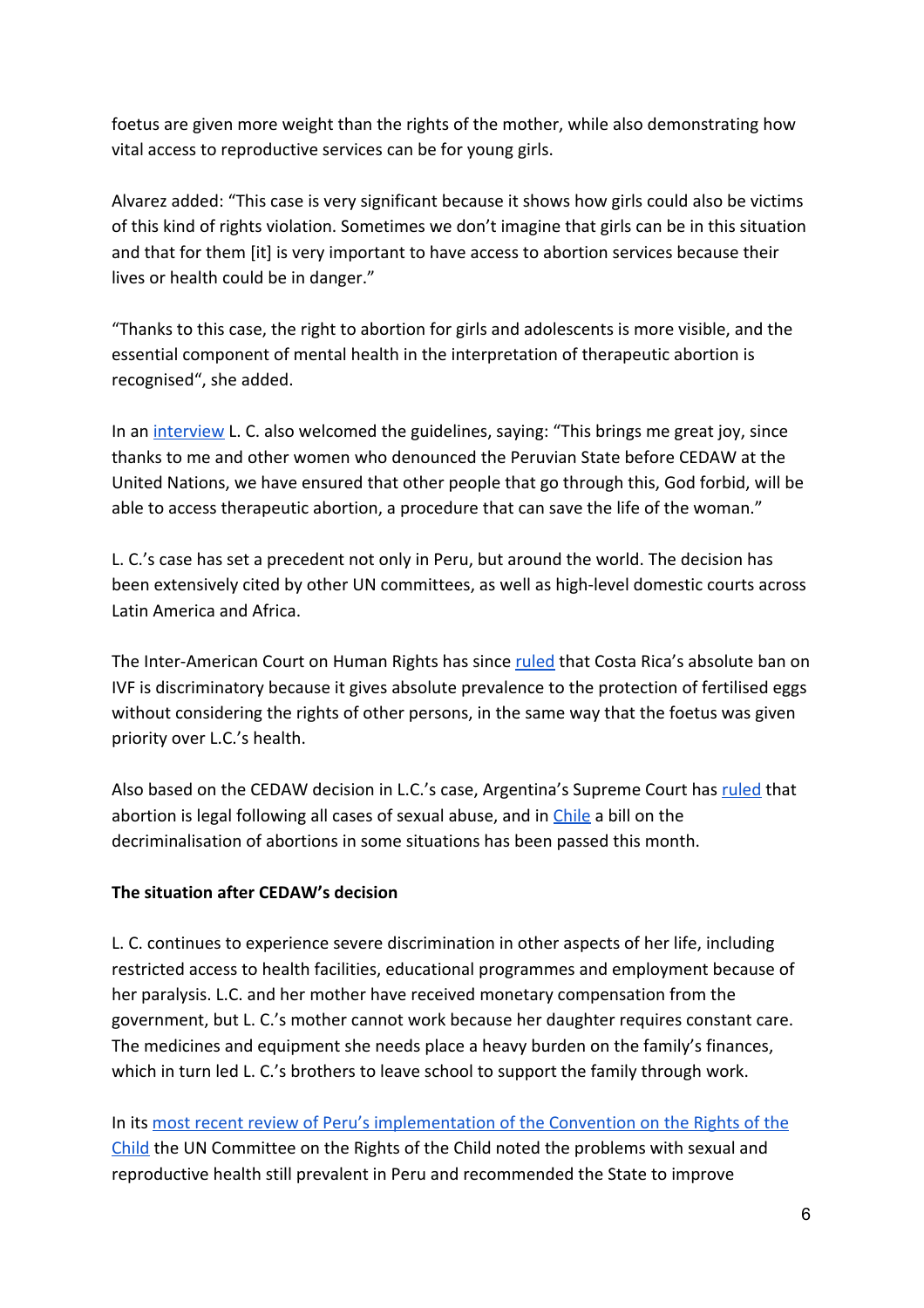foetus are given more weight than the rights of the mother, while also demonstrating how vital access to reproductive services can be for young girls.

Alvarez added: "This case is very significant because it shows how girls could also be victims of this kind of rights violation. Sometimes we don't imagine that girls can be in this situation and that for them [it] is very important to have access to abortion services because their lives or health could be in danger."

"Thanks to this case, the right to abortion for girls and adolescents is more visible, and the essential component of mental health in the interpretation of therapeutic abortion is recognised", she added.

In an [interview](http://www.promsex.org/index.php?option=com_k2&view=item&id=2428:ollanta-humala-ya-son-7-anos-cumplan-con-mi-reparacion&Itemid=696) L. C. also welcomed the guidelines, saying: "This brings me great joy, since thanks to me and other women who denounced the Peruvian State before CEDAW at the United Nations, we have ensured that other people that go through this, God forbid, will be able to access therapeutic abortion, a procedure that can save the life of the woman."

L. C.'s case has set a precedent not only in Peru, but around the world. The decision has been extensively cited by other UN committees, as well as high-level domestic courts across Latin America and Africa.

The Inter-American Court on Human Rights has since [ruled](http://www.crin.org/en/node/42441) that Costa Rica's absolute ban on IVF is discriminatory because it gives absolute prevalence to the protection of fertilised eggs without considering the rights of other persons, in the same way that the foetus was given priority over L.C.'s health.

Also based on the CEDAW decision in L.C.'s case, Argentina's Supreme Court has [ruled](http://www.reproductiverights.org/press-room/argentina-decriminalizes-abortion-in-all-cases-of-rape) that abortion is legal following all cases of sexual abuse, and in [Chile](http://www.buenosairesherald.com/article/210913/chile-lower-house-oks-limited-abortion-bill-) a bill on the decriminalisation of abortions in some situations has been passed this month.

#### **The situation after CEDAW's decision**

L. C. continues to experience severe discrimination in other aspects of her life, including restricted access to health facilities, educational programmes and employment because of her paralysis. L.C. and her mother have received monetary compensation from the government, but L. C.'s mother cannot work because her daughter requires constant care. The medicines and equipment she needs place a heavy burden on the family's finances, which in turn led L. C.'s brothers to leave school to support the family through work.

In its most recent review of Peru's [implementation](http://tbinternet.ohchr.org/_layouts/treatybodyexternal/Download.aspx?symbolno=CRC%2fC%2fPER%2fCO%2f4-5&Lang=en) of the Convention on the Rights of the [Child](http://tbinternet.ohchr.org/_layouts/treatybodyexternal/Download.aspx?symbolno=CRC%2fC%2fPER%2fCO%2f4-5&Lang=en) the UN Committee on the Rights of the Child noted the problems with sexual and reproductive health still prevalent in Peru and recommended the State to improve